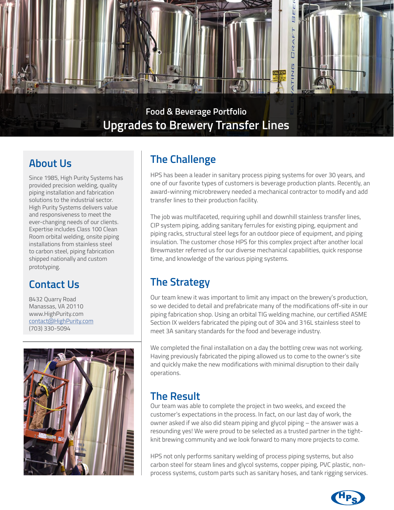

### **About Us**

Since 1985, High Purity Systems has provided precision welding, quality piping installation and fabrication solutions to the industrial sector. High Purity Systems delivers value and responsiveness to meet the ever-changing needs of our clients. Expertise includes Class 100 Clean Room orbital welding, onsite piping installations from stainless steel to carbon steel, piping fabrication shipped nationally and custom prototyping.

# **Contact Us**

8432 Quarry Road Manassas, VA 20110 www.HighPurity.com contact[@HighPurity.com](mailto:contact%40HighPurity.com?subject=) (703) 330-5094



# **The Challenge**

HPS has been a leader in sanitary process piping systems for over 30 years, and one of our favorite types of customers is beverage production plants. Recently, an award-winning microbrewery needed a mechanical contractor to modify and add transfer lines to their production facility.

The job was multifaceted, requiring uphill and downhill stainless transfer lines, CIP system piping, adding sanitary ferrules for existing piping, equipment and piping racks, structural steel legs for an outdoor piece of equipment, and piping insulation. The customer chose HPS for this complex project after another local Brewmaster referred us for our diverse mechanical capabilities, quick response time, and knowledge of the various piping systems.

# **The Strategy**

Our team knew it was important to limit any impact on the brewery's production, so we decided to detail and prefabricate many of the modifications off-site in our piping fabrication shop. Using an orbital TIG welding machine, our certified ASME Section IX welders fabricated the piping out of 304 and 316L stainless steel to meet 3A sanitary standards for the food and beverage industry.

We completed the final installation on a day the bottling crew was not working. Having previously fabricated the piping allowed us to come to the owner's site and quickly make the new modifications with minimal disruption to their daily operations.

### **The Result**

Our team was able to complete the project in two weeks, and exceed the customer's expectations in the process. In fact, on our last day of work, the owner asked if we also did steam piping and glycol piping – the answer was a resounding yes! We were proud to be selected as a trusted partner in the tightknit brewing community and we look forward to many more projects to come.

HPS not only performs sanitary welding of process piping systems, but also carbon steel for steam lines and glycol systems, copper piping, PVC plastic, nonprocess systems, custom parts such as sanitary hoses, and tank rigging services.